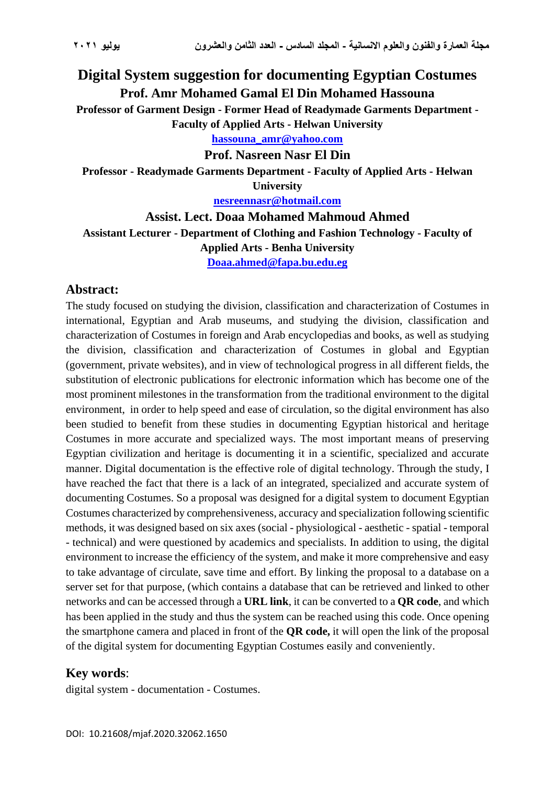# **Digital System suggestion for documenting Egyptian Costumes Prof. Amr Mohamed Gamal El Din Mohamed Hassouna**

**Professor of Garment Design - Former Head of Readymade Garments Department - Faculty of Applied Arts - Helwan University**

**[hassouna\\_amr@yahoo.com](mailto:hassouna_amr@yahoo.com)**

**Prof. Nasreen Nasr El Din**

**Professor - Readymade Garments Department - Faculty of Applied Arts - Helwan University**

**[nesreennasr@hotmail.com](mailto:nesreennasr@hotmail.com)**

**Assist. Lect. Doaa Mohamed Mahmoud Ahmed Assistant Lecturer - Department of Clothing and Fashion Technology - Faculty of Applied Arts - Benha University [Doaa.ahmed@fapa.bu.edu.eg](mailto:Doaa.ahmed@fapa.bu.edu.eg)**

#### **Abstract:**

The study focused on studying the division, classification and characterization of Costumes in international, Egyptian and Arab museums, and studying the division, classification and characterization of Costumes in foreign and Arab encyclopedias and books, as well as studying the division, classification and characterization of Costumes in global and Egyptian (government, private websites), and in view of technological progress in all different fields, the substitution of electronic publications for electronic information which has become one of the most prominent milestones in the transformation from the traditional environment to the digital environment, in order to help speed and ease of circulation, so the digital environment has also been studied to benefit from these studies in documenting Egyptian historical and heritage Costumes in more accurate and specialized ways. The most important means of preserving Egyptian civilization and heritage is documenting it in a scientific, specialized and accurate manner. Digital documentation is the effective role of digital technology. Through the study, I have reached the fact that there is a lack of an integrated, specialized and accurate system of documenting Costumes. So a proposal was designed for a digital system to document Egyptian Costumes characterized by comprehensiveness, accuracy and specialization following scientific methods, it was designed based on six axes (social - physiological - aesthetic - spatial - temporal - technical) and were questioned by academics and specialists. In addition to using, the digital environment to increase the efficiency of the system, and make it more comprehensive and easy to take advantage of circulate, save time and effort. By linking the proposal to a database on a server set for that purpose, (which contains a database that can be retrieved and linked to other networks and can be accessed through a **URL link**, it can be converted to a **QR code**, and which has been applied in the study and thus the system can be reached using this code. Once opening the smartphone camera and placed in front of the **QR code,** it will open the link of the proposal of the digital system for documenting Egyptian Costumes easily and conveniently.

#### **Key words**:

digital system - documentation - Costumes.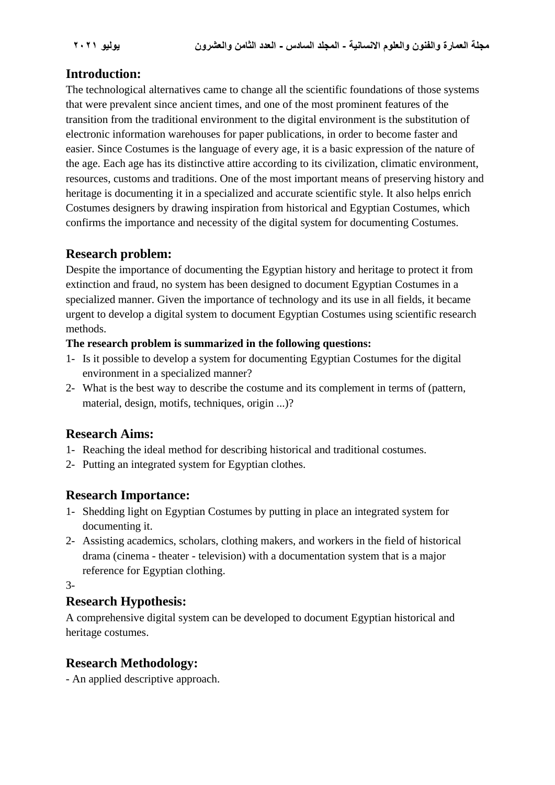## **Introduction:**

The technological alternatives came to change all the scientific foundations of those systems that were prevalent since ancient times, and one of the most prominent features of the transition from the traditional environment to the digital environment is the substitution of electronic information warehouses for paper publications, in order to become faster and easier. Since Costumes is the language of every age, it is a basic expression of the nature of the age. Each age has its distinctive attire according to its civilization, climatic environment, resources, customs and traditions. One of the most important means of preserving history and heritage is documenting it in a specialized and accurate scientific style. It also helps enrich Costumes designers by drawing inspiration from historical and Egyptian Costumes, which confirms the importance and necessity of the digital system for documenting Costumes.

### **Research problem:**

Despite the importance of documenting the Egyptian history and heritage to protect it from extinction and fraud, no system has been designed to document Egyptian Costumes in a specialized manner. Given the importance of technology and its use in all fields, it became urgent to develop a digital system to document Egyptian Costumes using scientific research methods.

#### **The research problem is summarized in the following questions:**

- 1- Is it possible to develop a system for documenting Egyptian Costumes for the digital environment in a specialized manner?
- 2- What is the best way to describe the costume and its complement in terms of (pattern, material, design, motifs, techniques, origin ...)?

## **Research Aims:**

- 1- Reaching the ideal method for describing historical and traditional costumes.
- 2- Putting an integrated system for Egyptian clothes.

## **Research Importance:**

- 1- Shedding light on Egyptian Costumes by putting in place an integrated system for documenting it.
- 2- Assisting academics, scholars, clothing makers, and workers in the field of historical drama (cinema - theater - television) with a documentation system that is a major reference for Egyptian clothing.
- 3-

## **Research Hypothesis:**

A comprehensive digital system can be developed to document Egyptian historical and heritage costumes.

## **Research Methodology:**

- An applied descriptive approach.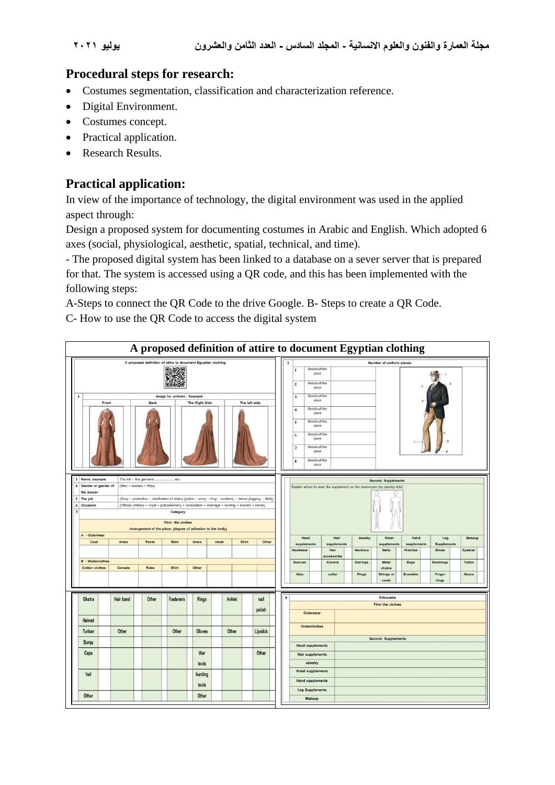### **Procedural steps for research:**

- Costumes segmentation, classification and characterization reference.
- Digital Environment.
- Costumes concept.
- Practical application.
- Research Results.

### **Practical application:**

In view of the importance of technology, the digital environment was used in the applied aspect through:

Design a proposed system for documenting costumes in Arabic and English. Which adopted 6 axes (social, physiological, aesthetic, spatial, technical, and time).

- The proposed digital system has been linked to a database on a sever server that is prepared for that. The system is accessed using a QR code, and this has been implemented with the following steps:

A-Steps to connect the QR Code to the drive Google. B- Steps to create a QR Code.

C- How to use the QR Code to access the digital system

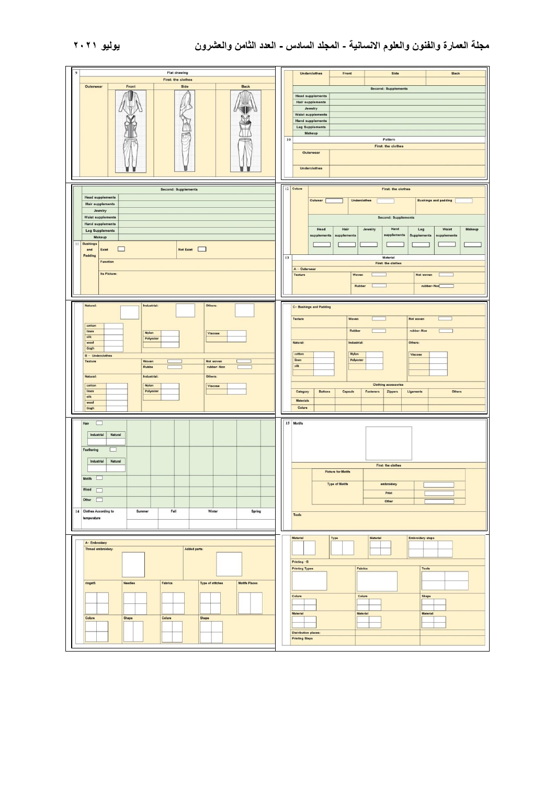| $\overline{9}$<br><b>Flat drawing</b><br>First: the clothes<br>Outerwear<br>Front<br>Side<br><b>Back</b>                                                                                                                                                                                                                   | Side<br>Underclothes<br>Front<br>Back<br>Second: Supplements<br><b>Head supplements</b><br><b>Hair supplements</b><br>Jewelry<br><b>Waist supplements</b><br><b>Hand supplements</b><br><b>Leg Supplements</b><br>Makeup<br>10<br>Pattern<br>First: the clothes<br>Outerwear<br><b>Underclothes</b><br>12 Colure<br>First: the clothes                         |
|----------------------------------------------------------------------------------------------------------------------------------------------------------------------------------------------------------------------------------------------------------------------------------------------------------------------------|----------------------------------------------------------------------------------------------------------------------------------------------------------------------------------------------------------------------------------------------------------------------------------------------------------------------------------------------------------------|
| <b>Second: Supplements</b><br><b>Head supplements</b><br><b>Hair supplements</b><br>Jewelry<br>Waist supplements<br><b>Hand supplements</b><br><b>Leg Supplements</b><br>Makeup<br>11 Bushings<br>Not Exist<br>and<br>Exist<br>$\mathbf{1}$<br>Padding<br><b>Function</b><br>Its Picture:                                  | <b>Bushings and padding</b><br>Outwear<br><b>Underclothes</b><br>Second: Supplements<br>Hand<br>Waist<br>Makeup<br>Head<br>Hair<br>Jewelry<br>Leg<br>supplements<br>supplements<br>supplements<br><b>Supplements</b><br>supplementary<br>13<br>Material<br>First: the clothes<br>A - Outerwear<br>Texture<br>Woven<br>Not woven<br><b>Rubber</b><br>rubber-Nor |
| Natural:<br>Industrial:<br>Others:<br>cotton<br>linen<br><b>Nylon</b><br>Viscose<br>silk<br>Polyester<br>wool<br>Gogh<br><b>B</b> - Underclothes<br>Woven<br>Not woven<br>Texture<br>Rubbe<br>rubber-Non<br>Natural:<br>Industrial:<br>Others:<br>cotton<br>Nylon<br>Viscose<br>linen<br>Polyester<br>silk<br>wool<br>Gogh | <b>C- Bushings and Padding</b><br>Texture<br>Woven<br>Not woven<br><b>Rubber</b><br>rubber-Non<br>Industrial:<br>Others:<br>Natural:<br>Nylon<br>cotton<br>Viscose<br>linen<br>Polyester<br>$s$ ilk<br><b>Clothing accessories</b><br><b>Buttons</b><br>Capsule<br>Fasteners<br>Ligaments<br>Others<br>Category<br>Zippers<br><b>Materials</b><br>Colure       |
| Hair<br>□<br>Industrial<br>Natural<br>$\Box$<br>Feathering<br>Industrial<br>Natural<br>Motifs <b>I</b><br>Wood <u>I</u><br>Other <b>District</b><br>14 Clothes According to<br>Fall<br>Winter<br>Summer<br>Spring<br>temperature<br>A- Embroidery                                                                          | 15 Motifs<br>First: the clothes<br><b>Picture for Motifs</b><br><b>Type of Motifs</b><br>embroidery<br>Print<br>Other<br>Tools<br>Material<br>Type<br>Material<br><b>Embroidery steps</b>                                                                                                                                                                      |
| Thread embroidery:<br>Added parts:<br>rings <sub>ts</sub><br><b>Needles</b><br>Fabrics<br><b>Type of stitches</b><br><b>Motifs Places</b><br>Colure<br>Shape<br>Colure<br>Shape                                                                                                                                            | Printing -B<br><b>Printing Types</b><br>Fabrics<br>Tools<br>Colure<br>Colure<br>Shape<br><b>Material</b><br><b>Material</b><br><b>Material</b><br><b>Distribution places:</b><br><b>Printing Steps</b>                                                                                                                                                         |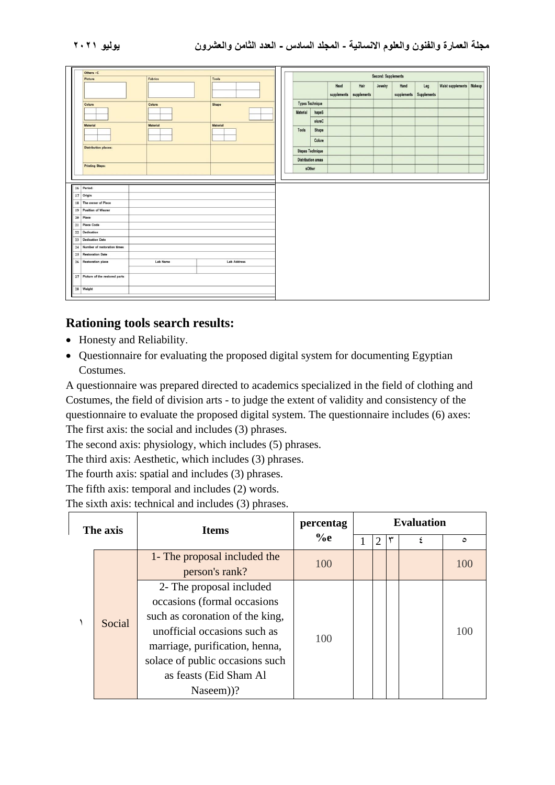| Others -C                          |                 |                    |                     |                           |             |             |         |      |                         |                            |  |
|------------------------------------|-----------------|--------------------|---------------------|---------------------------|-------------|-------------|---------|------|-------------------------|----------------------------|--|
| Picture                            | Fabrics         | Tools              | Second: Supplements |                           |             |             |         |      |                         |                            |  |
|                                    |                 |                    |                     |                           |             | Hair        | Jewelry | Hand | Leg                     | Waist supplements   Makeup |  |
|                                    |                 |                    |                     |                           | supplements | supplements |         |      | supplements Supplements |                            |  |
| Colure                             | Colure          | Shape              |                     | <b>Types Technique</b>    |             |             |         |      |                         |                            |  |
|                                    |                 |                    | Material            | hapeS                     |             |             |         |      |                         |                            |  |
|                                    |                 |                    |                     | olureC                    |             |             |         |      |                         |                            |  |
| <b>Material</b>                    | <b>Material</b> | Material           | Tools               | Shape                     |             |             |         |      |                         |                            |  |
|                                    |                 |                    |                     |                           |             |             |         |      |                         |                            |  |
|                                    |                 |                    |                     | Colure                    |             |             |         |      |                         |                            |  |
| <b>Distribution places:</b>        |                 |                    |                     | <b>Stepes Technique</b>   |             |             |         |      |                         |                            |  |
|                                    |                 |                    |                     | <b>Distribution areas</b> |             |             |         |      |                         |                            |  |
| <b>Printing Steps:</b>             |                 |                    |                     | sOther                    |             |             |         |      |                         |                            |  |
| 16 Period:                         |                 |                    |                     |                           |             |             |         |      |                         |                            |  |
| 17 Origin<br>18 The owner of Piece |                 |                    |                     |                           |             |             |         |      |                         |                            |  |
| 19 Position of Wearer              |                 |                    |                     |                           |             |             |         |      |                         |                            |  |
| 20 Place                           |                 |                    |                     |                           |             |             |         |      |                         |                            |  |
| 21 Piece Code                      |                 |                    |                     |                           |             |             |         |      |                         |                            |  |
| 22 Dedication                      |                 |                    |                     |                           |             |             |         |      |                         |                            |  |
| 23 Dedication Date                 |                 |                    |                     |                           |             |             |         |      |                         |                            |  |
| 24 Number of restoration times     |                 |                    |                     |                           |             |             |         |      |                         |                            |  |
| 25 Restoration Date                |                 |                    |                     |                           |             |             |         |      |                         |                            |  |
| 26 Restoration place               | <b>Lab Name</b> | <b>Lab Address</b> |                     |                           |             |             |         |      |                         |                            |  |
| 27 Picture of the restored parts   |                 |                    |                     |                           |             |             |         |      |                         |                            |  |

### **Rationing tools search results :**

- Honesty and Reliability.
- Questionnaire for evaluating the proposed digital system for documenting Egyptian Costumes.

A questionnaire was prepared directed to academics specialized in the field of clothing and Costumes, the field of division arts - to judge the extent of validity and consistency of the questionnaire to evaluate the proposed digital system. The questionnaire includes (6) axes: The first axis: the social and includes (3) phrases.

The second axis: physiology, which includes (5) phrases.

The third axis: Aesthetic, which includes (3) phrases.

The fourth axis: spatial and includes (3) phrases.

The fifth axis: temporal and includes (2) words.

The sixth axis: technical and includes (3) phrases.

| The axis |        | <b>Items</b>                                                                                                                                                                                                                           | percentag | <b>Evaluation</b> |                |  |  |       |  |
|----------|--------|----------------------------------------------------------------------------------------------------------------------------------------------------------------------------------------------------------------------------------------|-----------|-------------------|----------------|--|--|-------|--|
|          |        |                                                                                                                                                                                                                                        | $\%$ e    |                   | $\mathfrak{D}$ |  |  | ٥     |  |
|          |        | 1- The proposal included the<br>person's rank?                                                                                                                                                                                         | 100       |                   |                |  |  | 100   |  |
|          | Social | 2- The proposal included<br>occasions (formal occasions<br>such as coronation of the king,<br>unofficial occasions such as<br>marriage, purification, henna,<br>solace of public occasions such<br>as feasts (Eid Sham Al<br>Naseem))? | 100       |                   |                |  |  | 1()() |  |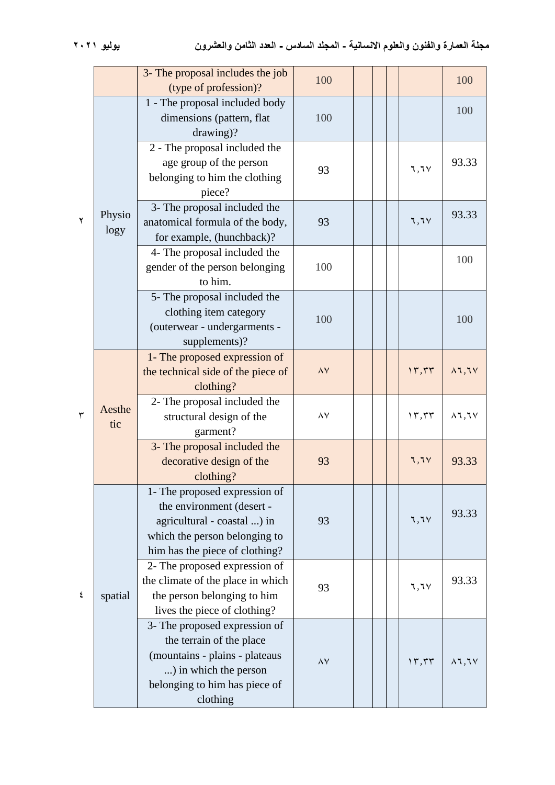|   |                | 3- The proposal includes the job<br>(type of profession)?                                                                                                         | 100      |  |       | 100                   |
|---|----------------|-------------------------------------------------------------------------------------------------------------------------------------------------------------------|----------|--|-------|-----------------------|
|   |                | 1 - The proposal included body<br>dimensions (pattern, flat<br>drawing)?                                                                                          | 100      |  |       | 100                   |
|   |                | 2 - The proposal included the<br>age group of the person<br>belonging to him the clothing<br>piece?                                                               | 93       |  | 7,7   | 93.33                 |
| ۲ | Physio<br>logy | 3- The proposal included the<br>anatomical formula of the body,<br>for example, (hunchback)?                                                                      | 93       |  | 7,7   | 93.33                 |
|   |                | 4- The proposal included the<br>gender of the person belonging<br>to him.                                                                                         | 100      |  |       | 100                   |
|   |                | 5- The proposal included the<br>clothing item category<br>(outerwear - undergarments -<br>supplements)?                                                           | 100      |  |       | 100                   |
|   | Aesthe<br>tic  | 1- The proposed expression of<br>the technical side of the piece of<br>clothing?                                                                                  | $\wedge$ |  | 17,77 | $\lambda$ 1,1 $\vee$  |
| ٣ |                | 2- The proposal included the<br>structural design of the<br>garment?                                                                                              | $\wedge$ |  | 15,55 | $\lambda$ l, l $\vee$ |
|   |                | 3- The proposal included the<br>decorative design of the<br>clothing?                                                                                             | 93       |  | 7,7V  | 93.33                 |
|   | spatial        | 1- The proposed expression of<br>the environment (desert -<br>agricultural - coastal ) in<br>which the person belonging to<br>him has the piece of clothing?      | 93       |  | 7,7   | 93.33                 |
| ٤ |                | 2- The proposed expression of<br>the climate of the place in which<br>the person belonging to him<br>lives the piece of clothing?                                 | 93       |  | ٦,٦٧  | 93.33                 |
|   |                | 3- The proposed expression of<br>the terrain of the place<br>(mountains - plains - plateaus<br>) in which the person<br>belonging to him has piece of<br>clothing | $\wedge$ |  | 17,77 | $\lambda$ l, l $\vee$ |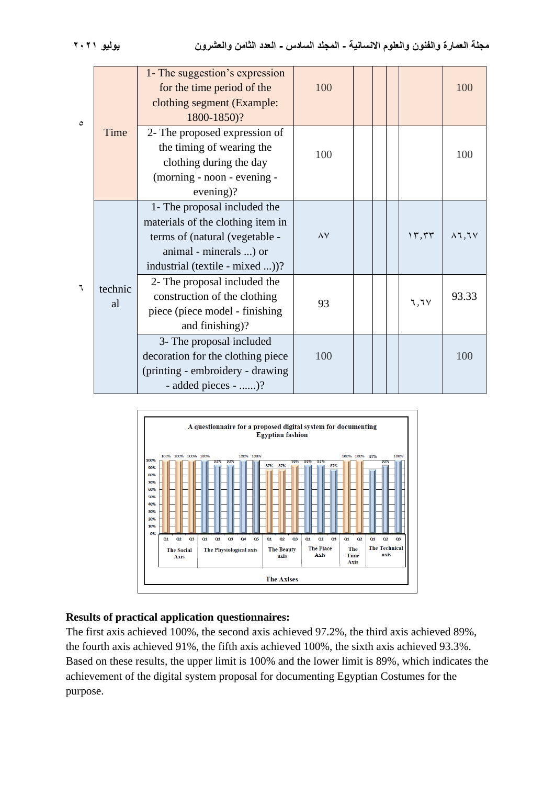| $\circ$ |               | 1- The suggestion's expression<br>for the time period of the<br>clothing segment (Example:<br>1800-1850)?                                                        | 100      |  |                              | 100                  |
|---------|---------------|------------------------------------------------------------------------------------------------------------------------------------------------------------------|----------|--|------------------------------|----------------------|
|         | Time          | 2- The proposed expression of<br>the timing of wearing the<br>clothing during the day<br>(morning - noon - evening -<br>evening)?                                | 100      |  |                              | 100                  |
|         | technic<br>al | 1- The proposal included the<br>materials of the clothing item in<br>terms of (natural (vegetable -<br>animal - minerals ) or<br>industrial (textile - mixed ))? | $\wedge$ |  | $\gamma$ , $\gamma$ $\gamma$ | $\lambda$ 1,1 $\vee$ |
| ٦       |               | 2- The proposal included the<br>construction of the clothing<br>piece (piece model - finishing<br>and finishing)?                                                | 93       |  | 7,7                          | 93.33                |
|         |               | 3- The proposal included<br>decoration for the clothing piece<br>(printing - embroidery - drawing)<br>- added pieces - )?                                        | 100      |  |                              | 100                  |



#### **Results of practical application questionnaires:**

The first axis achieved 100%, the second axis achieved 97.2%, the third axis achieved 89%, the fourth axis achieved 91%, the fifth axis achieved 100%, the sixth axis achieved 93.3%. Based on these results, the upper limit is 100% and the lower limit is 89%, which indicates the achievement of the digital system proposal for documenting Egyptian Costumes for the purpose.